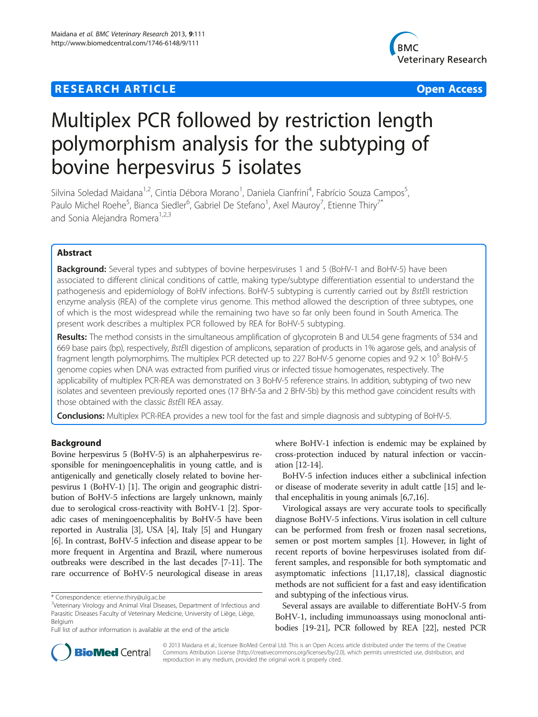# **RESEARCH ARTICLE Example 2014 12:30 THE Open Access**



# Multiplex PCR followed by restriction length polymorphism analysis for the subtyping of bovine herpesvirus 5 isolates

Silvina Soledad Maidana<sup>1,2</sup>, Cintia Débora Morano<sup>1</sup>, Daniela Cianfrini<sup>4</sup>, Fabrício Souza Campos<sup>5</sup> , Paulo Michel Roehe<sup>5</sup>, Bianca Siedler<sup>6</sup>, Gabriel De Stefano<sup>1</sup>, Axel Mauroy<sup>7</sup>, Etienne Thiry<sup>7\*</sup> and Sonia Alejandra Romera<sup>1,2,3</sup>

# Abstract

**Background:** Several types and subtypes of bovine herpesviruses 1 and 5 (BoHV-1 and BoHV-5) have been associated to different clinical conditions of cattle, making type/subtype differentiation essential to understand the pathogenesis and epidemiology of BoHV infections. BoHV-5 subtyping is currently carried out by BstEII restriction enzyme analysis (REA) of the complete virus genome. This method allowed the description of three subtypes, one of which is the most widespread while the remaining two have so far only been found in South America. The present work describes a multiplex PCR followed by REA for BoHV-5 subtyping.

Results: The method consists in the simultaneous amplification of glycoprotein B and UL54 gene fragments of 534 and 669 base pairs (bp), respectively, BstEII digestion of amplicons, separation of products in 1% agarose gels, and analysis of fragment length polymorphims. The multiplex PCR detected up to 227 BoHV-5 genome copies and  $9.2 \times 10^5$  BoHV-5 genome copies when DNA was extracted from purified virus or infected tissue homogenates, respectively. The applicability of multiplex PCR-REA was demonstrated on 3 BoHV-5 reference strains. In addition, subtyping of two new isolates and seventeen previously reported ones (17 BHV-5a and 2 BHV-5b) by this method gave coincident results with those obtained with the classic BstEII REA assay.

Conclusions: Multiplex PCR-REA provides a new tool for the fast and simple diagnosis and subtyping of BoHV-5.

# Background

Bovine herpesvirus 5 (BoHV-5) is an alphaherpesvirus responsible for meningoencephalitis in young cattle, and is antigenically and genetically closely related to bovine herpesvirus 1 (BoHV-1) [[1](#page-5-0)]. The origin and geographic distribution of BoHV-5 infections are largely unknown, mainly due to serological cross-reactivity with BoHV-1 [\[2](#page-5-0)]. Sporadic cases of meningoencephalitis by BoHV-5 have been reported in Australia [\[3](#page-5-0)], USA [[4\]](#page-5-0), Italy [[5](#page-5-0)] and Hungary [[6](#page-5-0)]. In contrast, BoHV-5 infection and disease appear to be more frequent in Argentina and Brazil, where numerous outbreaks were described in the last decades [[7-11](#page-5-0)]. The rare occurrence of BoHV-5 neurological disease in areas where BoHV-1 infection is endemic may be explained by cross-protection induced by natural infection or vaccination [\[12-14\]](#page-5-0).

BoHV-5 infection induces either a subclinical infection or disease of moderate severity in adult cattle [[15](#page-5-0)] and lethal encephalitis in young animals [\[6,7,16\]](#page-5-0).

Virological assays are very accurate tools to specifically diagnose BoHV-5 infections. Virus isolation in cell culture can be performed from fresh or frozen nasal secretions, semen or post mortem samples [\[1](#page-5-0)]. However, in light of recent reports of bovine herpesviruses isolated from different samples, and responsible for both symptomatic and asymptomatic infections [\[11,17,18](#page-5-0)], classical diagnostic methods are not sufficient for a fast and easy identification and subtyping of the infectious virus.

Several assays are available to differentiate BoHV-5 from BoHV-1, including immunoassays using monoclonal antibodies [[19](#page-5-0)-[21](#page-5-0)], PCR followed by REA [\[22\]](#page-5-0), nested PCR



© 2013 Maidana et al.; licensee BioMed Central Ltd. This is an Open Access article distributed under the terms of the Creative Commons Attribution License [\(http://creativecommons.org/licenses/by/2.0\)](http://creativecommons.org/licenses/by/2.0), which permits unrestricted use, distribution, and reproduction in any medium, provided the original work is properly cited.

<sup>\*</sup> Correspondence: [etienne.thiry@ulg.ac.be](mailto:etienne.thiry@ulg.ac.be) <sup>7</sup>

 $\frac{7}{1}$ Veterinary Virology and Animal Viral Diseases, Department of Infectious and Parasitic Diseases Faculty of Veterinary Medicine, University of Liège, Liège, Belgium

Full list of author information is available at the end of the article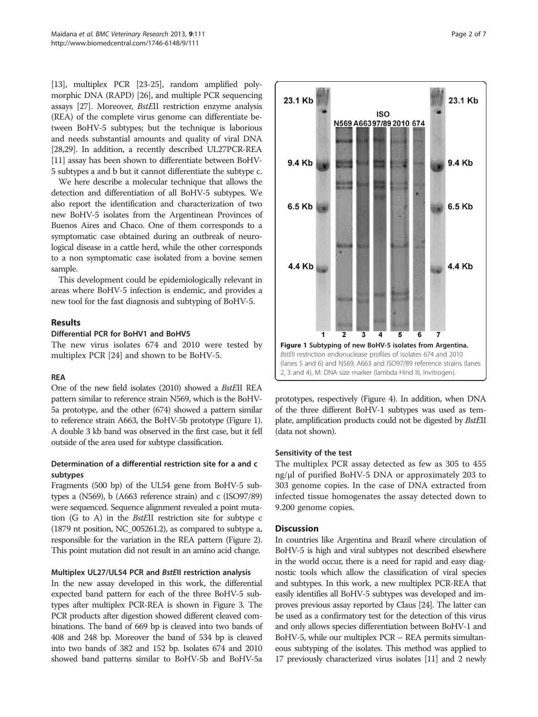[[13](#page-5-0)], multiplex PCR [[23](#page-5-0)-[25](#page-5-0)], random amplified polymorphic DNA (RAPD) [[26](#page-6-0)], and multiple PCR sequencing assays [\[27\]](#page-6-0). Moreover, BstEII restriction enzyme analysis (REA) of the complete virus genome can differentiate between BoHV-5 subtypes; but the technique is laborious and needs substantial amounts and quality of viral DNA [[28,29\]](#page-6-0). In addition, a recently described UL27PCR-REA [[11](#page-5-0)] assay has been shown to differentiate between BoHV-5 subtypes a and b but it cannot differentiate the subtype c.

We here describe a molecular technique that allows the detection and differentiation of all BoHV-5 subtypes. We also report the identification and characterization of two new BoHV-5 isolates from the Argentinean Provinces of Buenos Aires and Chaco. One of them corresponds to a symptomatic case obtained during an outbreak of neurological disease in a cattle herd, while the other corresponds to a non symptomatic case isolated from a bovine semen sample.

This development could be epidemiologically relevant in areas where BoHV-5 infection is endemic, and provides a new tool for the fast diagnosis and subtyping of BoHV-5.

# Results

#### Differential PCR for BoHV1 and BoHV5

The new virus isolates 674 and 2010 were tested by multiplex PCR [[24\]](#page-5-0) and shown to be BoHV-5.

#### REA

One of the new field isolates (2010) showed a BstEII REA pattern similar to reference strain N569, which is the BoHV-5a prototype, and the other (674) showed a pattern similar to reference strain A663, the BoHV-5b prototype (Figure 1). A double 3 kb band was observed in the first case, but it fell outside of the area used for subtype classification.

# Determination of a differential restriction site for a and c subtypes

Fragments (500 bp) of the UL54 gene from BoHV-5 subtypes a (N569), b (A663 reference strain) and c (ISO97/89) were sequenced. Sequence alignment revealed a point mutation (G to A) in the BstEII restriction site for subtype c (1879 nt position, NC\_005261.2), as compared to subtype a, responsible for the variation in the REA pattern (Figure [2](#page-2-0)). This point mutation did not result in an amino acid change.

#### Multiplex UL27/UL54 PCR and BstEII restriction analysis

In the new assay developed in this work, the differential expected band pattern for each of the three BoHV-5 subtypes after multiplex PCR-REA is shown in Figure [3.](#page-2-0) The PCR products after digestion showed different cleaved combinations. The band of 669 bp is cleaved into two bands of 408 and 248 bp. Moreover the band of 534 bp is cleaved into two bands of 382 and 152 bp. Isolates 674 and 2010 showed band patterns similar to BoHV-5b and BoHV-5a



prototypes, respectively (Figure [4](#page-3-0)). In addition, when DNA of the three different BoHV-1 subtypes was used as template, amplification products could not be digested by BstEII (data not shown).

#### Sensitivity of the test

The multiplex PCR assay detected as few as 305 to 455 ng/μl of purified BoHV-5 DNA or approximately 203 to 303 genome copies. In the case of DNA extracted from infected tissue homogenates the assay detected down to 9.200 genome copies.

# **Discussion**

In countries like Argentina and Brazil where circulation of BoHV-5 is high and viral subtypes not described elsewhere in the world occur, there is a need for rapid and easy diagnostic tools which allow the classification of viral species and subtypes. In this work, a new multiplex PCR-REA that easily identifies all BoHV-5 subtypes was developed and improves previous assay reported by Claus [\[24\]](#page-5-0). The latter can be used as a confirmatory test for the detection of this virus and only allows species differentiation between BoHV-1 and BoHV-5, while our multiplex PCR – REA permits simultaneous subtyping of the isolates. This method was applied to 17 previously characterized virus isolates [\[11](#page-5-0)] and 2 newly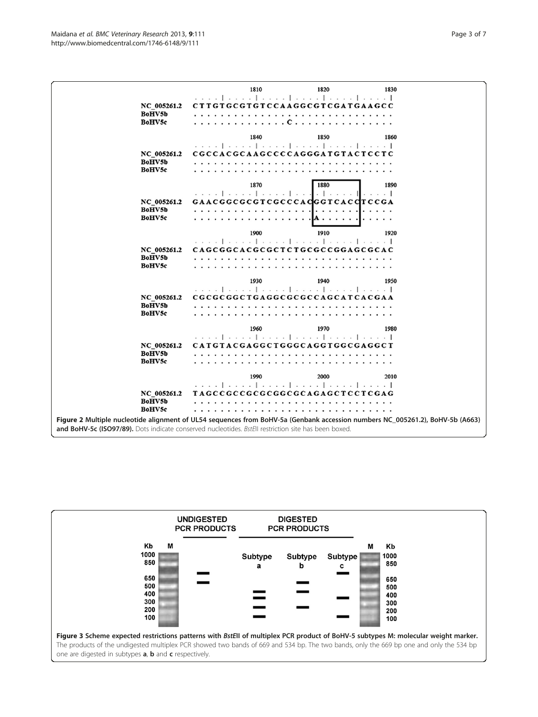<span id="page-2-0"></span>

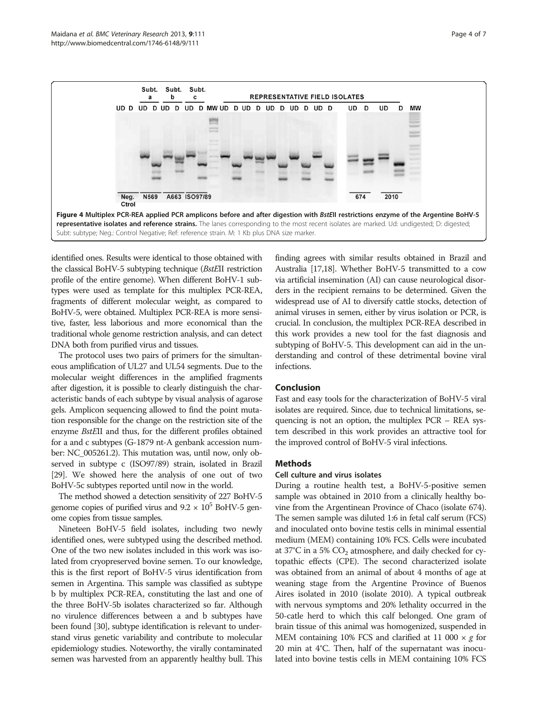<span id="page-3-0"></span>

identified ones. Results were identical to those obtained with the classical BoHV-5 subtyping technique (BstEII restriction profile of the entire genome). When different BoHV-1 subtypes were used as template for this multiplex PCR-REA, fragments of different molecular weight, as compared to BoHV-5, were obtained. Multiplex PCR-REA is more sensitive, faster, less laborious and more economical than the traditional whole genome restriction analysis, and can detect DNA both from purified virus and tissues.

The protocol uses two pairs of primers for the simultaneous amplification of UL27 and UL54 segments. Due to the molecular weight differences in the amplified fragments after digestion, it is possible to clearly distinguish the characteristic bands of each subtype by visual analysis of agarose gels. Amplicon sequencing allowed to find the point mutation responsible for the change on the restriction site of the enzyme BstEII and thus, for the different profiles obtained for a and c subtypes (G-1879 nt-A genbank accession number: NC\_005261.2). This mutation was, until now, only observed in subtype c (ISO97/89) strain, isolated in Brazil [[29](#page-6-0)]. We showed here the analysis of one out of two BoHV-5c subtypes reported until now in the world.

The method showed a detection sensitivity of 227 BoHV-5 genome copies of purified virus and  $9.2 \times 10^5$  BoHV-5 genome copies from tissue samples.

Nineteen BoHV-5 field isolates, including two newly identified ones, were subtyped using the described method. One of the two new isolates included in this work was isolated from cryopreserved bovine semen. To our knowledge, this is the first report of BoHV-5 virus identification from semen in Argentina. This sample was classified as subtype b by multiplex PCR-REA, constituting the last and one of the three BoHV-5b isolates characterized so far. Although no virulence differences between a and b subtypes have been found [[30](#page-6-0)], subtype identification is relevant to understand virus genetic variability and contribute to molecular epidemiology studies. Noteworthy, the virally contaminated semen was harvested from an apparently healthy bull. This finding agrees with similar results obtained in Brazil and Australia [\[17,18\]](#page-5-0). Whether BoHV-5 transmitted to a cow via artificial insemination (AI) can cause neurological disorders in the recipient remains to be determined. Given the widespread use of AI to diversify cattle stocks, detection of animal viruses in semen, either by virus isolation or PCR, is crucial. In conclusion, the multiplex PCR-REA described in this work provides a new tool for the fast diagnosis and subtyping of BoHV-5. This development can aid in the understanding and control of these detrimental bovine viral infections.

# Conclusion

Fast and easy tools for the characterization of BoHV-5 viral isolates are required. Since, due to technical limitations, sequencing is not an option, the multiplex PCR – REA system described in this work provides an attractive tool for the improved control of BoHV-5 viral infections.

#### **Methods**

#### Cell culture and virus isolates

During a routine health test, a BoHV-5-positive semen sample was obtained in 2010 from a clinically healthy bovine from the Argentinean Province of Chaco (isolate 674). The semen sample was diluted 1:6 in fetal calf serum (FCS) and inoculated onto bovine testis cells in minimal essential medium (MEM) containing 10% FCS. Cells were incubated at 37 $\degree$ C in a 5%  $\degree$ CO<sub>2</sub> atmosphere, and daily checked for cytopathic effects (CPE). The second characterized isolate was obtained from an animal of about 4 months of age at weaning stage from the Argentine Province of Buenos Aires isolated in 2010 (isolate 2010). A typical outbreak with nervous symptoms and 20% lethality occurred in the 50-catle herd to which this calf belonged. One gram of brain tissue of this animal was homogenized, suspended in MEM containing 10% FCS and clarified at 11 000  $\times$  g for 20 min at 4°C. Then, half of the supernatant was inoculated into bovine testis cells in MEM containing 10% FCS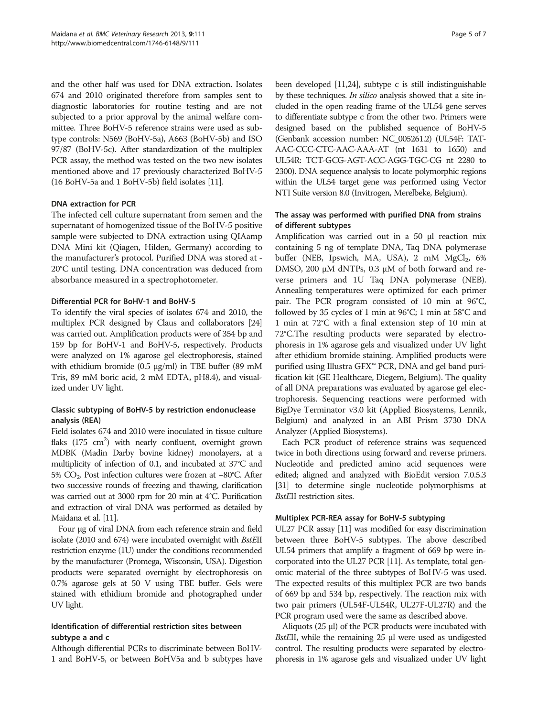and the other half was used for DNA extraction. Isolates 674 and 2010 originated therefore from samples sent to diagnostic laboratories for routine testing and are not subjected to a prior approval by the animal welfare committee. Three BoHV-5 reference strains were used as subtype controls: N569 (BoHV-5a), A663 (BoHV-5b) and ISO 97/87 (BoHV-5c). After standardization of the multiplex PCR assay, the method was tested on the two new isolates mentioned above and 17 previously characterized BoHV-5 (16 BoHV-5a and 1 BoHV-5b) field isolates [\[11\]](#page-5-0).

#### DNA extraction for PCR

The infected cell culture supernatant from semen and the supernatant of homogenized tissue of the BoHV-5 positive sample were subjected to DNA extraction using QIAamp DNA Mini kit (Qiagen, Hilden, Germany) according to the manufacturer's protocol. Purified DNA was stored at - 20°C until testing. DNA concentration was deduced from absorbance measured in a spectrophotometer.

#### Differential PCR for BoHV-1 and BoHV-5

To identify the viral species of isolates 674 and 2010, the multiplex PCR designed by Claus and collaborators [\[24](#page-5-0)] was carried out. Amplification products were of 354 bp and 159 bp for BoHV-1 and BoHV-5, respectively. Products were analyzed on 1% agarose gel electrophoresis, stained with ethidium bromide (0.5 μg/ml) in TBE buffer (89 mM Tris, 89 mM boric acid, 2 mM EDTA, pH8.4), and visualized under UV light.

# Classic subtyping of BoHV-5 by restriction endonuclease analysis (REA)

Field isolates 674 and 2010 were inoculated in tissue culture flaks  $(175 \text{ cm}^2)$  with nearly confluent, overnight grown MDBK (Madin Darby bovine kidney) monolayers, at a multiplicity of infection of 0.1, and incubated at 37°C and 5% CO2. Post infection cultures were frozen at −80°C. After two successive rounds of freezing and thawing, clarification was carried out at 3000 rpm for 20 min at 4°C. Purification and extraction of viral DNA was performed as detailed by Maidana et al. [[11](#page-5-0)].

Four μg of viral DNA from each reference strain and field isolate (2010 and 674) were incubated overnight with BstEII restriction enzyme (1U) under the conditions recommended by the manufacturer (Promega, Wisconsin, USA). Digestion products were separated overnight by electrophoresis on 0.7% agarose gels at 50 V using TBE buffer. Gels were stained with ethidium bromide and photographed under UV light.

# Identification of differential restriction sites between subtype a and c

Although differential PCRs to discriminate between BoHV-1 and BoHV-5, or between BoHV5a and b subtypes have

been developed [\[11,24](#page-5-0)], subtype c is still indistinguishable by these techniques. In silico analysis showed that a site included in the open reading frame of the UL54 gene serves to differentiate subtype c from the other two. Primers were designed based on the published sequence of BoHV-5 (Genbank accession number: NC\_005261.2) (UL54F: TAT-AAC-CCC-CTC-AAC-AAA-AT (nt 1631 to 1650) and UL54R: TCT-GCG-AGT-ACC-AGG-TGC-CG nt 2280 to 2300). DNA sequence analysis to locate polymorphic regions within the UL54 target gene was performed using Vector NTI Suite version 8.0 (Invitrogen, Merelbeke, Belgium).

# The assay was performed with purified DNA from strains of different subtypes

Amplification was carried out in a 50 μl reaction mix containing 5 ng of template DNA, Taq DNA polymerase buffer (NEB, Ipswich, MA, USA), 2 mM MgCl<sub>2</sub>, 6% DMSO, 200 μM dNTPs, 0.3 μM of both forward and reverse primers and 1U Taq DNA polymerase (NEB). Annealing temperatures were optimized for each primer pair. The PCR program consisted of 10 min at 96°C, followed by 35 cycles of 1 min at 96°C; 1 min at 58°C and 1 min at 72°C with a final extension step of 10 min at 72°C.The resulting products were separated by electrophoresis in 1% agarose gels and visualized under UV light after ethidium bromide staining. Amplified products were purified using Illustra GFX<sup>™</sup> PCR, DNA and gel band purification kit (GE Healthcare, Diegem, Belgium). The quality of all DNA preparations was evaluated by agarose gel electrophoresis. Sequencing reactions were performed with BigDye Terminator v3.0 kit (Applied Biosystems, Lennik, Belgium) and analyzed in an ABI Prism 3730 DNA Analyzer (Applied Biosystems).

Each PCR product of reference strains was sequenced twice in both directions using forward and reverse primers. Nucleotide and predicted amino acid sequences were edited; aligned and analyzed with BioEdit version 7.0.5.3 [[31](#page-6-0)] to determine single nucleotide polymorphisms at BstEII restriction sites.

#### Multiplex PCR-REA assay for BoHV-5 subtyping

UL27 PCR assay [[11](#page-5-0)] was modified for easy discrimination between three BoHV-5 subtypes. The above described UL54 primers that amplify a fragment of 669 bp were incorporated into the UL27 PCR [\[11\]](#page-5-0). As template, total genomic material of the three subtypes of BoHV-5 was used. The expected results of this multiplex PCR are two bands of 669 bp and 534 bp, respectively. The reaction mix with two pair primers (UL54F-UL54R, UL27F-UL27R) and the PCR program used were the same as described above.

Aliquots (25 μl) of the PCR products were incubated with BstEII, while the remaining 25 <sup>μ</sup>l were used as undigested control. The resulting products were separated by electrophoresis in 1% agarose gels and visualized under UV light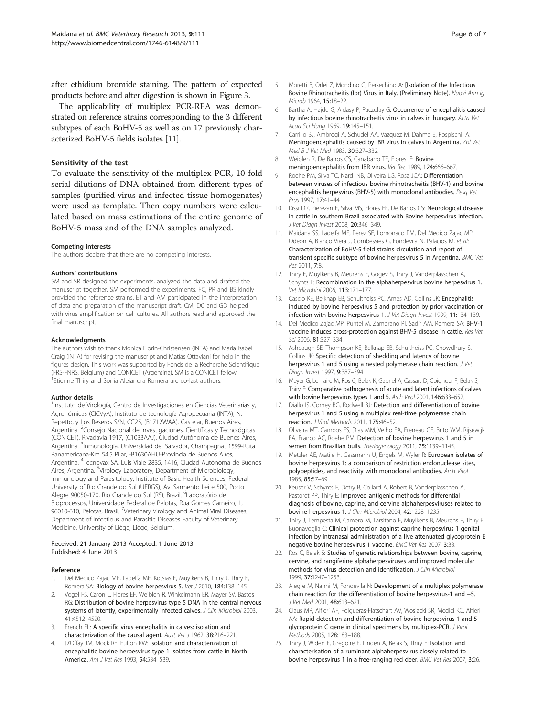<span id="page-5-0"></span>after ethidium bromide staining. The pattern of expected products before and after digestion is shown in Figure [3](#page-2-0).

The applicability of multiplex PCR-REA was demonstrated on reference strains corresponding to the 3 different subtypes of each BoHV-5 as well as on 17 previously characterized BoHV-5 fields isolates [11].

#### Sensitivity of the test

To evaluate the sensitivity of the multiplex PCR, 10-fold serial dilutions of DNA obtained from different types of samples (purified virus and infected tissue homogenates) were used as template. Then copy numbers were calculated based on mass estimations of the entire genome of BoHV-5 mass and of the DNA samples analyzed.

#### Competing interests

The authors declare that there are no competing interests.

#### Authors' contributions

SM and SR designed the experiments, analyzed the data and drafted the manuscript together. SM performed the experiments. FC, PR and BS kindly provided the reference strains. ET and AM participated in the interpretation of data and preparation of the manuscript draft. CM, DC and GD helped with virus amplification on cell cultures. All authors read and approved the final manuscript.

#### Acknowledgments

The authors wish to thank Mónica Florin-Christensen (INTA) and María Isabel Craig (INTA) for revising the manuscript and Matías Ottaviani for help in the figures design. This work was supported by Fonds de la Recherche Scientifique (FRS-FNRS, Belgium) and CONICET (Argentina). SM is a CONICET fellow. <sup>1</sup> Etienne Thiry and Sonia Alejandra Romera are co-last authors.

#### Author details

<sup>1</sup>Instituto de Virología, Centro de Investigaciones en Ciencias Veterinarias y, Agronómicas (CICVyA), Instituto de tecnología Agropecuaria (INTA), N. Repetto, y Los Reseros S/N, CC25, (B1712WAA), Castelar, Buenos Aires, Argentina. <sup>2</sup> Consejo Nacional de Investigaciones, Científicas y Tecnológicas (CONICET), Rivadavia 1917, (C1033AAJ), Ciudad Autónoma de Buenos Aires, Argentina. <sup>3</sup>Inmunología, Universidad del Salvador, Champagnat 1599-Ruta Panamericana-Km 54.5 Pilar, -B1630AHU-Provincia de Buenos Aires, Argentina. <sup>4</sup>Tecnovax SA, Luis Viale 2835, 1416, Ciudad Autónoma de Buenos Aires, Argentina. <sup>5</sup>Virology Laboratory, Department of Microbiology, Immunology and Parasitology, Institute of Basic Health Sciences, Federal University of Rio Grande do Sul (UFRGS), Av. Sarmento Leite 500, Porto Alegre 90050-170, Rio Grande do Sul (RS), Brazil. <sup>6</sup>Laboratório de Bioprocessos, Universidade Federal de Pelotas, Rua Gomes Carneiro, 1, 96010-610, Pelotas, Brasil. <sup>7</sup>Veterinary Virology and Animal Viral Diseases, Department of Infectious and Parasitic Diseases Faculty of Veterinary Medicine, University of Liège, Liège, Belgium.

#### Received: 21 January 2013 Accepted: 1 June 2013 Published: 4 June 2013

#### Reference

- 1. Del Medico Zajac MP, Ladelfa MF, Kotsias F, Muylkens B, Thiry J, Thiry E, Romera SA: Biology of bovine herpesvirus 5. Vet J 2010, 184:138-145.
- 2. Vogel FS, Caron L, Flores EF, Weiblen R, Winkelmann ER, Mayer SV, Bastos RG: Distribution of bovine herpesvirus type 5 DNA in the central nervous systems of latently, experimentally infected calves. J Clin Microbiol 2003, 41:4512–4520.
- 3. French EL: A specific virus encephalitis in calves: isolation and characterization of the causal agent. Aust Vet J 1962, 38:216-221.
- 4. D'Offay JM, Mock RE, Fulton RW: Isolation and characterization of encephalitic bovine herpesvirus type 1 isolates from cattle in North America. Am J Vet Res 1993, 54:534–539.
- 5. Moretti B, Orfei Z, Mondino G, Persechino A: [Isolation of the Infectious Bovine Rhinotracheitis (Ibr) Virus in Italy. (Preliminary Note). Nuovi Ann Ig Microb 1964, 15:18–22.
- Bartha A, Hajdu G, Aldasy P, Paczolay G: Occurrence of encephalitis caused by infectious bovine rhinotracheitis virus in calves in hungary. Acta Vet Acad Sci Hung 1969, 19:145–151.
- 7. Carrillo BJ, Ambrogi A, Schudel AA, Vazquez M, Dahme E, Pospischil A: Meningoencephalitis caused by IBR virus in calves in Argentina. Zbl Vet Med B J Vet Med 1983, 30:327–332.
- 8. Weiblen R, De Barros CS, Canabarro TF, Flores IE: Bovine meningoencephalitis from IBR virus. Vet Rec 1989, 124:666-667.
- 9. Roehe PM, Silva TC, Nardi NB, Oliveira LG, Rosa JCA: Differentiation between viruses of infectious bovine rhinotracheitis (BHV-1) and bovine encephalitis herpesvirus (BHV-5) with monoclonal antibodies. Pesq Vet Bras 1997, 17:41–44.
- 10. Rissi DR, Pierezan F, Silva MS, Flores EF, De Barros CS: Neurological disease in cattle in southern Brazil associated with Bovine herpesvirus infection. J Vet Diagn Invest 2008, 20:346-349.
- 11. Maidana SS, Ladelfa MF, Perez SE, Lomonaco PM, Del Medico Zajac MP, Odeon A, Blanco Viera J, Combessies G, Fondevila N, Palacios M, et al: Characterization of BoHV-5 field strains circulation and report of transient specific subtype of bovine herpesvirus 5 in Argentina. BMC Vet Res 2011, 7:8.
- 12. Thiry E, Muylkens B, Meurens F, Gogev S, Thiry J, Vanderplasschen A, Schynts F: Recombination in the alphaherpesvirus bovine herpesvirus 1. Vet Microbiol 2006, 113:171–177.
- 13. Cascio KE, Belknap EB, Schultheiss PC, Ames AD, Collins JK: Encephalitis induced by bovine herpesvirus 5 and protection by prior vaccination or infection with bovine herpesvirus 1. J Vet Diagn Invest 1999, 11:134–139.
- 14. Del Medico Zajac MP, Puntel M, Zamorano PI, Sadir AM, Romera SA: BHV-1 vaccine induces cross-protection against BHV-5 disease in cattle. Res Vet Sci 2006, 81:327–334.
- 15. Ashbaugh SE, Thompson KE, Belknap EB, Schultheiss PC, Chowdhury S, Collins JK: Specific detection of shedding and latency of bovine herpesvirus 1 and 5 using a nested polymerase chain reaction. J Vet Diagn Invest 1997, 9:387–394.
- 16. Meyer G, Lemaire M, Ros C, Belak K, Gabriel A, Cassart D, Coignoul F, Belak S, Thiry E: Comparative pathogenesis of acute and latent infections of calves with bovine herpesvirus types 1 and 5. Arch Virol 2001, 146:633–652.
- 17. Diallo IS, Corney BG, Rodwell BJ: Detection and differentiation of bovine herpesvirus 1 and 5 using a multiplex real-time polymerase chain reaction. J Virol Methods 2011, 175:46–52.
- 18. Oliveira MT, Campos FS, Dias MM, Velho FA, Freneau GE, Brito WM, Rijsewijk FA, Franco AC, Roehe PM: Detection of bovine herpesvirus 1 and 5 in semen from Brazilian bulls. Theriogenology 2011, 75:1139-1145.
- 19. Metzler AE, Matile H, Gassmann U, Engels M, Wyler R: European isolates of bovine herpesvirus 1: a comparison of restriction endonuclease sites, polypeptides, and reactivity with monoclonal antibodies. Arch Virol 1985, 85:57–69.
- 20. Keuser V, Schynts F, Detry B, Collard A, Robert B, Vanderplasschen A, Pastoret PP, Thiry E: Improved antigenic methods for differential diagnosis of bovine, caprine, and cervine alphaherpesviruses related to bovine herpesvirus 1. J Clin Microbiol 2004, 42:1228–1235.
- 21. Thiry J, Tempesta M, Camero M, Tarsitano E, Muylkens B, Meurens F, Thiry E, Buonavoglia C: Clinical protection against caprine herpesvirus 1 genital infection by intranasal administration of a live attenuated glycoprotein E negative bovine herpesvirus 1 vaccine. BMC Vet Res 2007, 3:33.
- 22. Ros C, Belak S: Studies of genetic relationships between bovine, caprine, cervine, and rangiferine alphaherpesviruses and improved molecular methods for virus detection and identification. J Clin Microbiol 1999, 37:1247–1253.
- 23. Alegre M, Nanni M, Fondevila N: Development of a multiplex polymerase chain reaction for the differentiation of bovine herpesvirus-1 and −5. J Vet Med 2001, 48:613-621.
- 24. Claus MP, Alfieri AF, Folgueras-Flatschart AV, Wosiacki SR, Medici KC, Alfieri AA: Rapid detection and differentiation of bovine herpesvirus 1 and 5 glycoprotein C gene in clinical specimens by multiplex-PCR. J Virol Methods 2005, 128:183–188.
- 25. Thiry J, Widen F, Gregoire F, Linden A, Belak S, Thiry E: Isolation and characterisation of a ruminant alphaherpesvirus closely related to bovine herpesvirus 1 in a free-ranging red deer. BMC Vet Res 2007, 3:26.